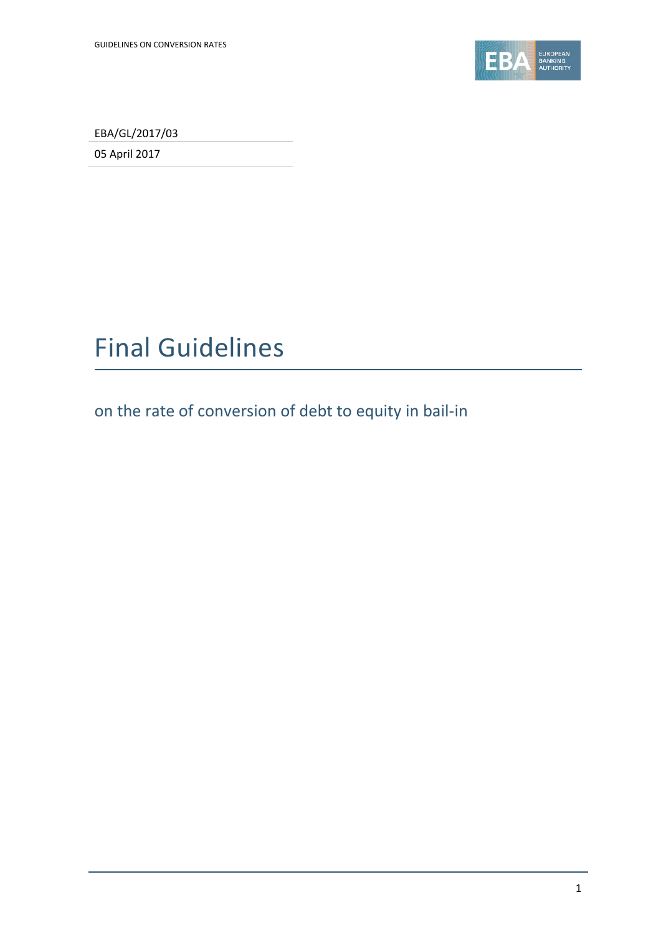

EBA/GL/2017/03

05 April 2017

# Final Guidelines

on the rate of conversion of debt to equity in bail-in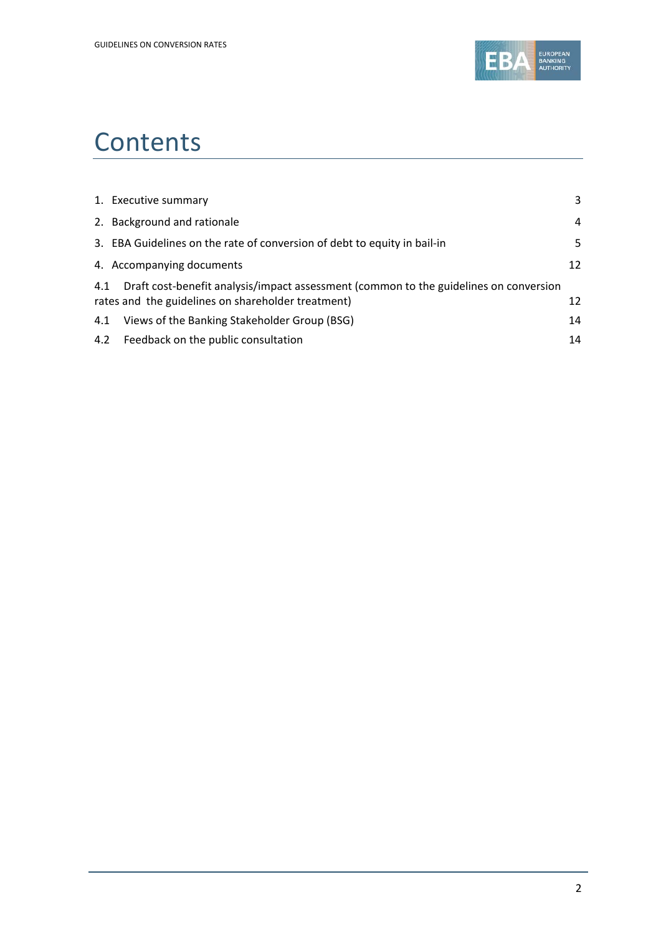

# **Contents**

|     | 1. Executive summary                                                                                                                        | 3  |
|-----|---------------------------------------------------------------------------------------------------------------------------------------------|----|
|     | 2. Background and rationale                                                                                                                 | 4  |
|     | 3. EBA Guidelines on the rate of conversion of debt to equity in bail-in                                                                    | 5  |
|     | 4. Accompanying documents                                                                                                                   | 12 |
| 4.1 | Draft cost-benefit analysis/impact assessment (common to the guidelines on conversion<br>rates and the guidelines on shareholder treatment) | 12 |
| 4.1 | Views of the Banking Stakeholder Group (BSG)                                                                                                | 14 |
|     | 4.2 Feedback on the public consultation                                                                                                     | 14 |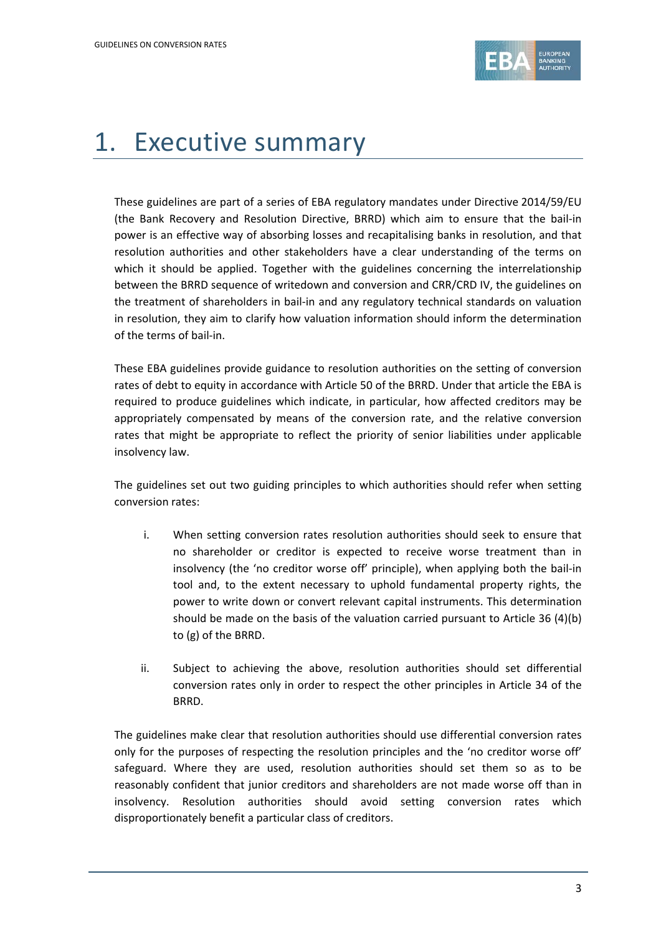

# 1. Executive summary

These guidelines are part of a series of EBA regulatory mandates under Directive 2014/59/EU (the Bank Recovery and Resolution Directive, BRRD) which aim to ensure that the bail-in power is an effective way of absorbing losses and recapitalising banks in resolution, and that resolution authorities and other stakeholders have a clear understanding of the terms on which it should be applied. Together with the guidelines concerning the interrelationship between the BRRD sequence of writedown and conversion and CRR/CRD IV, the guidelines on the treatment of shareholders in bail-in and any regulatory technical standards on valuation in resolution, they aim to clarify how valuation information should inform the determination of the terms of bail-in.

These EBA guidelines provide guidance to resolution authorities on the setting of conversion rates of debt to equity in accordance with Article 50 of the BRRD. Under that article the EBA is required to produce guidelines which indicate, in particular, how affected creditors may be appropriately compensated by means of the conversion rate, and the relative conversion rates that might be appropriate to reflect the priority of senior liabilities under applicable insolvency law.

The guidelines set out two guiding principles to which authorities should refer when setting conversion rates:

- i. When setting conversion rates resolution authorities should seek to ensure that no shareholder or creditor is expected to receive worse treatment than in insolvency (the 'no creditor worse off' principle), when applying both the bail-in tool and, to the extent necessary to uphold fundamental property rights, the power to write down or convert relevant capital instruments. This determination should be made on the basis of the valuation carried pursuant to Article 36 (4)(b) to (g) of the BRRD.
- ii. Subject to achieving the above, resolution authorities should set differential conversion rates only in order to respect the other principles in Article 34 of the BRRD.

The guidelines make clear that resolution authorities should use differential conversion rates only for the purposes of respecting the resolution principles and the 'no creditor worse off' safeguard. Where they are used, resolution authorities should set them so as to be reasonably confident that junior creditors and shareholders are not made worse off than in insolvency. Resolution authorities should avoid setting conversion rates which disproportionately benefit a particular class of creditors.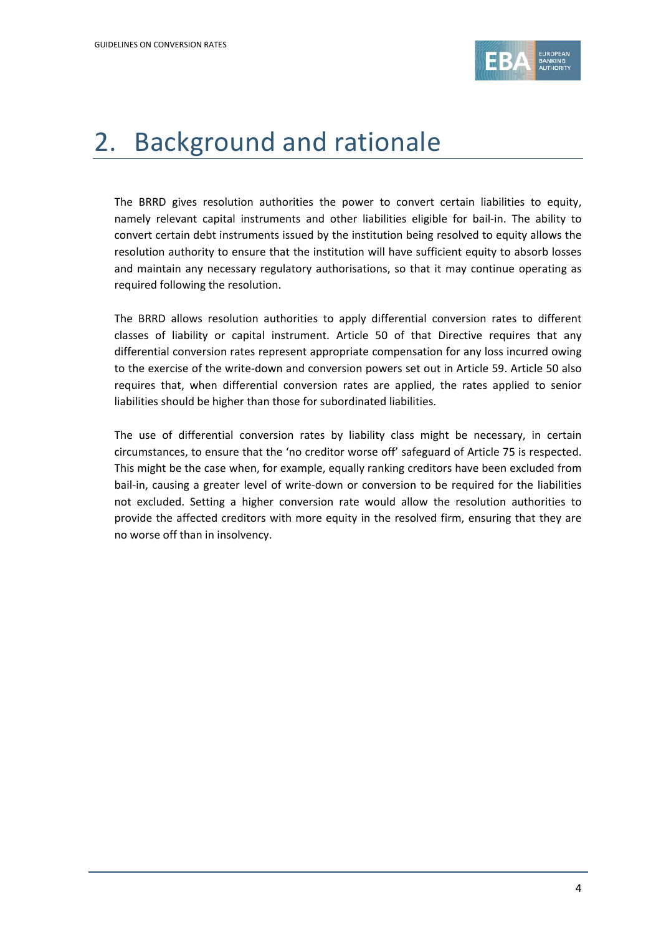

## 2. Background and rationale

The BRRD gives resolution authorities the power to convert certain liabilities to equity, namely relevant capital instruments and other liabilities eligible for bail-in. The ability to convert certain debt instruments issued by the institution being resolved to equity allows the resolution authority to ensure that the institution will have sufficient equity to absorb losses and maintain any necessary regulatory authorisations, so that it may continue operating as required following the resolution.

The BRRD allows resolution authorities to apply differential conversion rates to different classes of liability or capital instrument. Article 50 of that Directive requires that any differential conversion rates represent appropriate compensation for any loss incurred owing to the exercise of the write-down and conversion powers set out in Article 59. Article 50 also requires that, when differential conversion rates are applied, the rates applied to senior liabilities should be higher than those for subordinated liabilities.

The use of differential conversion rates by liability class might be necessary, in certain circumstances, to ensure that the 'no creditor worse off' safeguard of Article 75 is respected. This might be the case when, for example, equally ranking creditors have been excluded from bail-in, causing a greater level of write-down or conversion to be required for the liabilities not excluded. Setting a higher conversion rate would allow the resolution authorities to provide the affected creditors with more equity in the resolved firm, ensuring that they are no worse off than in insolvency.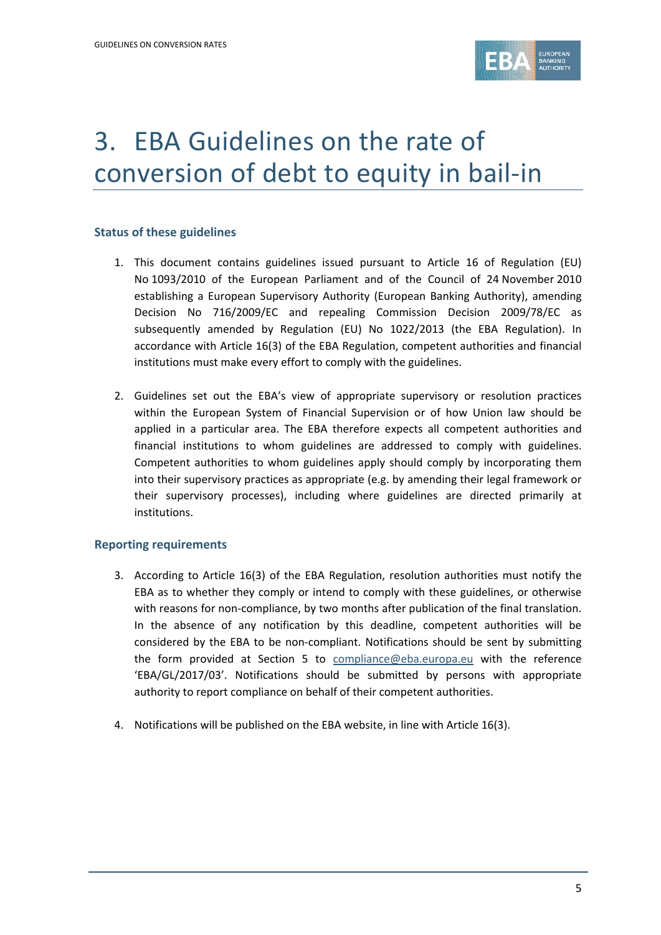

# 3. EBA Guidelines on the rate of conversion of debt to equity in bail-in

#### **Status of these guidelines**

- 1. This document contains guidelines issued pursuant to Article 16 of Regulation (EU) No 1093/2010 of the European Parliament and of the Council of 24 November 2010 establishing a European Supervisory Authority (European Banking Authority), amending Decision No 716/2009/EC and repealing Commission Decision 2009/78/EC as subsequently amended by Regulation (EU) No 1022/2013 (the EBA Regulation). In accordance with Article 16(3) of the EBA Regulation, competent authorities and financial institutions must make every effort to comply with the guidelines.
- 2. Guidelines set out the EBA's view of appropriate supervisory or resolution practices within the European System of Financial Supervision or of how Union law should be applied in a particular area. The EBA therefore expects all competent authorities and financial institutions to whom guidelines are addressed to comply with guidelines. Competent authorities to whom guidelines apply should comply by incorporating them into their supervisory practices as appropriate (e.g. by amending their legal framework or their supervisory processes), including where guidelines are directed primarily at institutions.

#### **Reporting requirements**

- 3. According to Article 16(3) of the EBA Regulation, resolution authorities must notify the EBA as to whether they comply or intend to comply with these guidelines, or otherwise with reasons for non-compliance, by two months after publication of the final translation. In the absence of any notification by this deadline, competent authorities will be considered by the EBA to be non-compliant. Notifications should be sent by submitting the form provided at Section 5 to [compliance@eba.europa.eu](mailto:compliance@eba.europa.eu) with the reference 'EBA/GL/2017/03'. Notifications should be submitted by persons with appropriate authority to report compliance on behalf of their competent authorities.
- 4. Notifications will be published on the EBA website, in line with Article 16(3).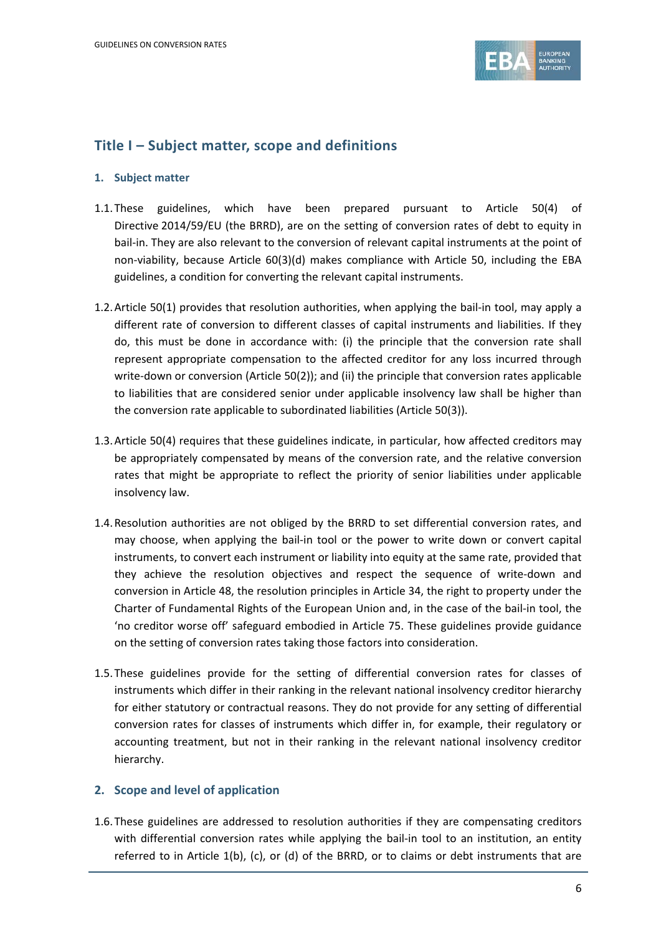

### **Title I – Subject matter, scope and definitions**

#### **1. Subject matter**

- 1.1.These guidelines, which have been prepared pursuant to Article 50(4) of Directive 2014/59/EU (the BRRD), are on the setting of conversion rates of debt to equity in bail-in. They are also relevant to the conversion of relevant capital instruments at the point of non-viability, because Article 60(3)(d) makes compliance with Article 50, including the EBA guidelines, a condition for converting the relevant capital instruments.
- 1.2.Article 50(1) provides that resolution authorities, when applying the bail-in tool, may apply a different rate of conversion to different classes of capital instruments and liabilities. If they do, this must be done in accordance with: (i) the principle that the conversion rate shall represent appropriate compensation to the affected creditor for any loss incurred through write-down or conversion (Article 50(2)); and (ii) the principle that conversion rates applicable to liabilities that are considered senior under applicable insolvency law shall be higher than the conversion rate applicable to subordinated liabilities (Article 50(3)).
- 1.3.Article 50(4) requires that these guidelines indicate, in particular, how affected creditors may be appropriately compensated by means of the conversion rate, and the relative conversion rates that might be appropriate to reflect the priority of senior liabilities under applicable insolvency law.
- 1.4.Resolution authorities are not obliged by the BRRD to set differential conversion rates, and may choose, when applying the bail-in tool or the power to write down or convert capital instruments, to convert each instrument or liability into equity at the same rate, provided that they achieve the resolution objectives and respect the sequence of write-down and conversion in Article 48, the resolution principles in Article 34, the right to property under the Charter of Fundamental Rights of the European Union and, in the case of the bail-in tool, the 'no creditor worse off' safeguard embodied in Article 75. These guidelines provide guidance on the setting of conversion rates taking those factors into consideration.
- 1.5.These guidelines provide for the setting of differential conversion rates for classes of instruments which differ in their ranking in the relevant national insolvency creditor hierarchy for either statutory or contractual reasons. They do not provide for any setting of differential conversion rates for classes of instruments which differ in, for example, their regulatory or accounting treatment, but not in their ranking in the relevant national insolvency creditor hierarchy.

#### **2. Scope and level of application**

1.6.These guidelines are addressed to resolution authorities if they are compensating creditors with differential conversion rates while applying the bail-in tool to an institution, an entity referred to in Article 1(b), (c), or (d) of the BRRD, or to claims or debt instruments that are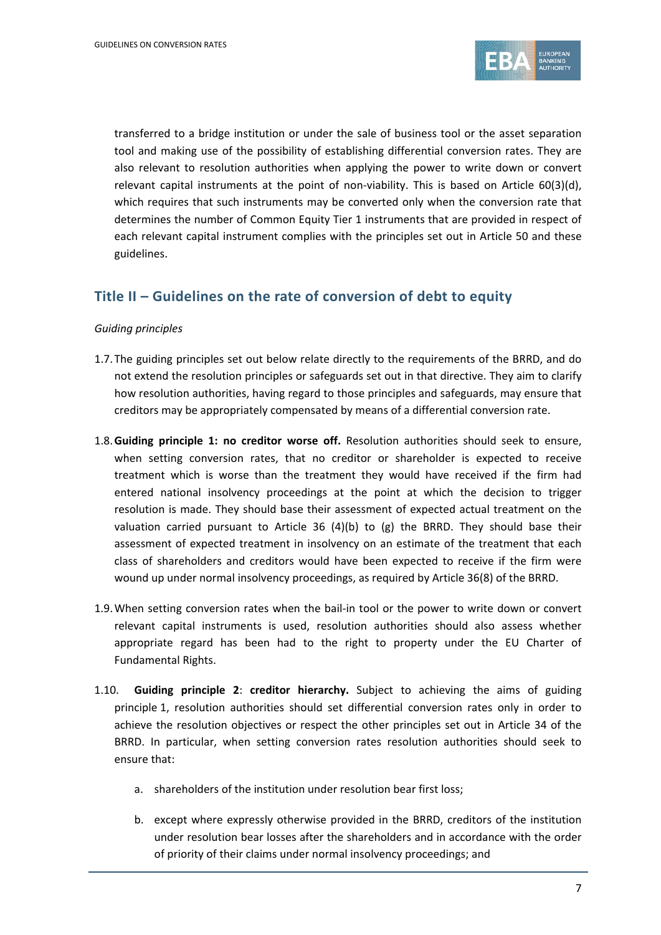

transferred to a bridge institution or under the sale of business tool or the asset separation tool and making use of the possibility of establishing differential conversion rates. They are also relevant to resolution authorities when applying the power to write down or convert relevant capital instruments at the point of non-viability. This is based on Article 60(3)(d), which requires that such instruments may be converted only when the conversion rate that determines the number of Common Equity Tier 1 instruments that are provided in respect of each relevant capital instrument complies with the principles set out in Article 50 and these guidelines.

### **Title II – Guidelines on the rate of conversion of debt to equity**

#### *Guiding principles*

- 1.7.The guiding principles set out below relate directly to the requirements of the BRRD, and do not extend the resolution principles or safeguards set out in that directive. They aim to clarify how resolution authorities, having regard to those principles and safeguards, may ensure that creditors may be appropriately compensated by means of a differential conversion rate.
- 1.8.**Guiding principle 1: no creditor worse off.** Resolution authorities should seek to ensure, when setting conversion rates, that no creditor or shareholder is expected to receive treatment which is worse than the treatment they would have received if the firm had entered national insolvency proceedings at the point at which the decision to trigger resolution is made. They should base their assessment of expected actual treatment on the valuation carried pursuant to Article 36  $(4)(b)$  to  $(g)$  the BRRD. They should base their assessment of expected treatment in insolvency on an estimate of the treatment that each class of shareholders and creditors would have been expected to receive if the firm were wound up under normal insolvency proceedings, as required by Article 36(8) of the BRRD.
- 1.9.When setting conversion rates when the bail-in tool or the power to write down or convert relevant capital instruments is used, resolution authorities should also assess whether appropriate regard has been had to the right to property under the EU Charter of Fundamental Rights.
- 1.10. **Guiding principle 2**: **creditor hierarchy.** Subject to achieving the aims of guiding principle 1, resolution authorities should set differential conversion rates only in order to achieve the resolution objectives or respect the other principles set out in Article 34 of the BRRD. In particular, when setting conversion rates resolution authorities should seek to ensure that:
	- a. shareholders of the institution under resolution bear first loss;
	- b. except where expressly otherwise provided in the BRRD, creditors of the institution under resolution bear losses after the shareholders and in accordance with the order of priority of their claims under normal insolvency proceedings; and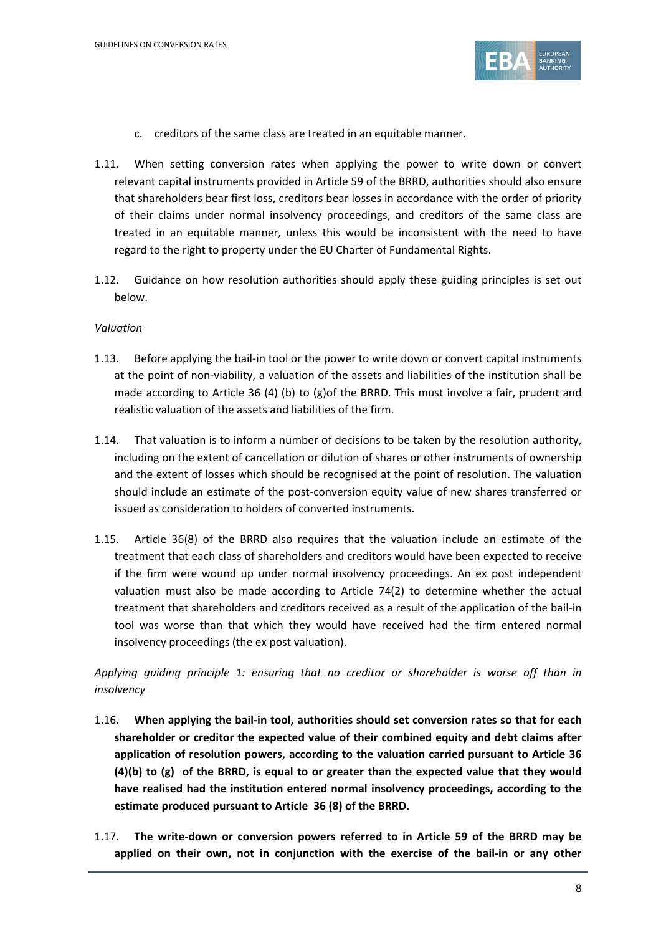

- c. creditors of the same class are treated in an equitable manner.
- 1.11. When setting conversion rates when applying the power to write down or convert relevant capital instruments provided in Article 59 of the BRRD, authorities should also ensure that shareholders bear first loss, creditors bear losses in accordance with the order of priority of their claims under normal insolvency proceedings, and creditors of the same class are treated in an equitable manner, unless this would be inconsistent with the need to have regard to the right to property under the EU Charter of Fundamental Rights.
- 1.12. Guidance on how resolution authorities should apply these guiding principles is set out below.

#### *Valuation*

- 1.13. Before applying the bail-in tool or the power to write down or convert capital instruments at the point of non-viability, a valuation of the assets and liabilities of the institution shall be made according to Article 36 (4) (b) to (g)of the BRRD. This must involve a fair, prudent and realistic valuation of the assets and liabilities of the firm.
- 1.14. That valuation is to inform a number of decisions to be taken by the resolution authority, including on the extent of cancellation or dilution of shares or other instruments of ownership and the extent of losses which should be recognised at the point of resolution. The valuation should include an estimate of the post-conversion equity value of new shares transferred or issued as consideration to holders of converted instruments.
- 1.15. Article 36(8) of the BRRD also requires that the valuation include an estimate of the treatment that each class of shareholders and creditors would have been expected to receive if the firm were wound up under normal insolvency proceedings. An ex post independent valuation must also be made according to Article 74(2) to determine whether the actual treatment that shareholders and creditors received as a result of the application of the bail-in tool was worse than that which they would have received had the firm entered normal insolvency proceedings (the ex post valuation).

*Applying guiding principle 1: ensuring that no creditor or shareholder is worse off than in insolvency*

- 1.16. **When applying the bail-in tool, authorities should set conversion rates so that for each shareholder or creditor the expected value of their combined equity and debt claims after application of resolution powers, according to the valuation carried pursuant to Article 36 (4)(b) to (g) of the BRRD, is equal to or greater than the expected value that they would have realised had the institution entered normal insolvency proceedings, according to the estimate produced pursuant to Article 36 (8) of the BRRD.**
- 1.17. **The write-down or conversion powers referred to in Article 59 of the BRRD may be applied on their own, not in conjunction with the exercise of the bail-in or any other**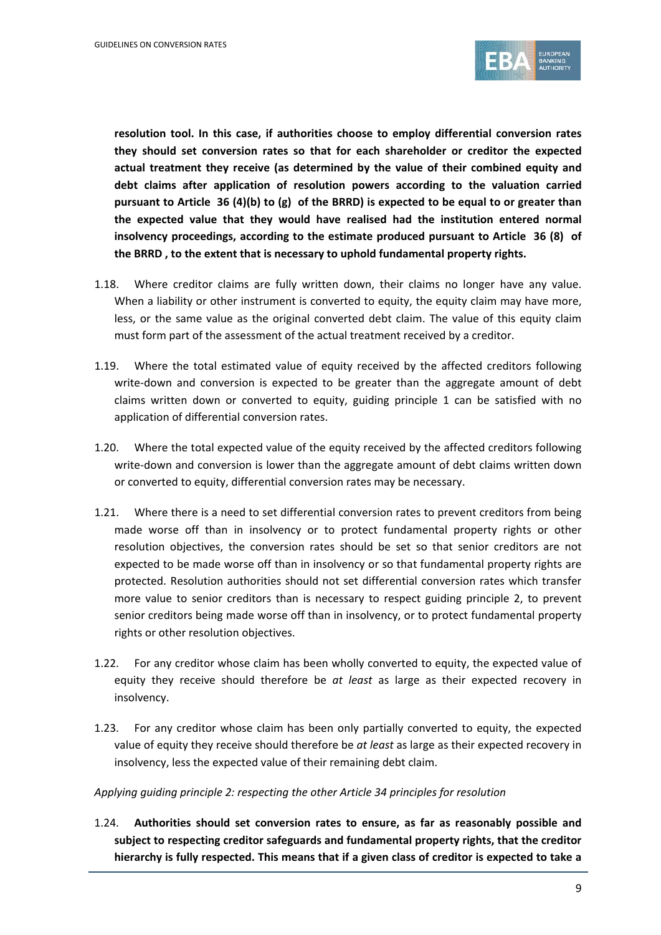

**resolution tool. In this case, if authorities choose to employ differential conversion rates they should set conversion rates so that for each shareholder or creditor the expected actual treatment they receive (as determined by the value of their combined equity and debt claims after application of resolution powers according to the valuation carried pursuant to Article 36 (4)(b) to (g) of the BRRD) is expected to be equal to or greater than the expected value that they would have realised had the institution entered normal insolvency proceedings, according to the estimate produced pursuant to Article 36 (8) of the BRRD , to the extent that is necessary to uphold fundamental property rights.**

- 1.18. Where creditor claims are fully written down, their claims no longer have any value. When a liability or other instrument is converted to equity, the equity claim may have more, less, or the same value as the original converted debt claim. The value of this equity claim must form part of the assessment of the actual treatment received by a creditor.
- 1.19. Where the total estimated value of equity received by the affected creditors following write-down and conversion is expected to be greater than the aggregate amount of debt claims written down or converted to equity, guiding principle 1 can be satisfied with no application of differential conversion rates.
- 1.20. Where the total expected value of the equity received by the affected creditors following write-down and conversion is lower than the aggregate amount of debt claims written down or converted to equity, differential conversion rates may be necessary.
- 1.21. Where there is a need to set differential conversion rates to prevent creditors from being made worse off than in insolvency or to protect fundamental property rights or other resolution objectives, the conversion rates should be set so that senior creditors are not expected to be made worse off than in insolvency or so that fundamental property rights are protected. Resolution authorities should not set differential conversion rates which transfer more value to senior creditors than is necessary to respect guiding principle 2, to prevent senior creditors being made worse off than in insolvency, or to protect fundamental property rights or other resolution objectives.
- 1.22. For any creditor whose claim has been wholly converted to equity, the expected value of equity they receive should therefore be *at least* as large as their expected recovery in insolvency.
- 1.23. For any creditor whose claim has been only partially converted to equity, the expected value of equity they receive should therefore be *at least* as large as their expected recovery in insolvency, less the expected value of their remaining debt claim.

*Applying guiding principle 2: respecting the other Article 34 principles for resolution* 

1.24. **Authorities should set conversion rates to ensure, as far as reasonably possible and subject to respecting creditor safeguards and fundamental property rights, that the creditor hierarchy is fully respected. This means that if a given class of creditor is expected to take a**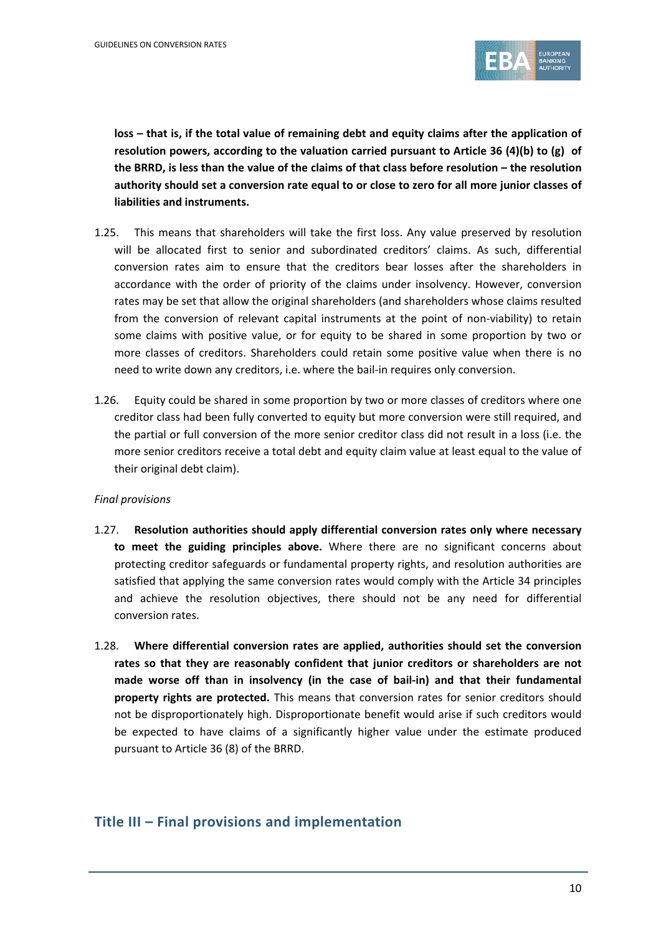

**loss – that is, if the total value of remaining debt and equity claims after the application of resolution powers, according to the valuation carried pursuant to Article 36 (4)(b) to (g) of the BRRD, is less than the value of the claims of that class before resolution – the resolution authority should set a conversion rate equal to or close to zero for all more junior classes of liabilities and instruments.**

- 1.25. This means that shareholders will take the first loss. Any value preserved by resolution will be allocated first to senior and subordinated creditors' claims. As such, differential conversion rates aim to ensure that the creditors bear losses after the shareholders in accordance with the order of priority of the claims under insolvency. However, conversion rates may be set that allow the original shareholders (and shareholders whose claims resulted from the conversion of relevant capital instruments at the point of non-viability) to retain some claims with positive value, or for equity to be shared in some proportion by two or more classes of creditors. Shareholders could retain some positive value when there is no need to write down any creditors, i.e. where the bail-in requires only conversion.
- 1.26. Equity could be shared in some proportion by two or more classes of creditors where one creditor class had been fully converted to equity but more conversion were still required, and the partial or full conversion of the more senior creditor class did not result in a loss (i.e. the more senior creditors receive a total debt and equity claim value at least equal to the value of their original debt claim).

#### *Final provisions*

- 1.27. **Resolution authorities should apply differential conversion rates only where necessary to meet the guiding principles above.** Where there are no significant concerns about protecting creditor safeguards or fundamental property rights, and resolution authorities are satisfied that applying the same conversion rates would comply with the Article 34 principles and achieve the resolution objectives, there should not be any need for differential conversion rates.
- 1.28. **Where differential conversion rates are applied, authorities should set the conversion rates so that they are reasonably confident that junior creditors or shareholders are not made worse off than in insolvency (in the case of bail-in) and that their fundamental property rights are protected.** This means that conversion rates for senior creditors should not be disproportionately high. Disproportionate benefit would arise if such creditors would be expected to have claims of a significantly higher value under the estimate produced pursuant to Article 36 (8) of the BRRD.

### **Title III – Final provisions and implementation**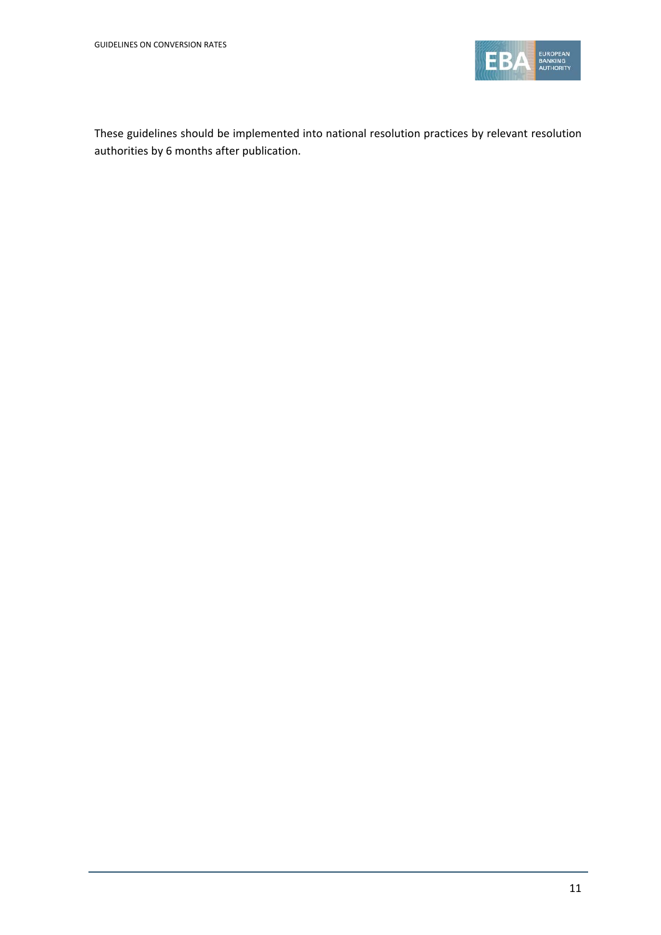

These guidelines should be implemented into national resolution practices by relevant resolution authorities by 6 months after publication.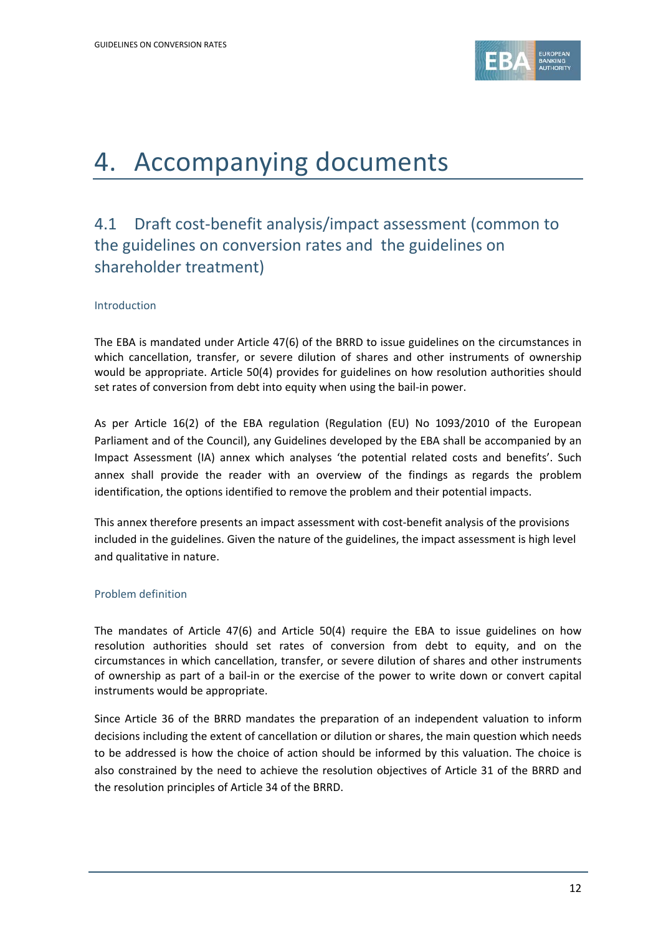

## 4. Accompanying documents

## 4.1 Draft cost-benefit analysis/impact assessment (common to the guidelines on conversion rates and the guidelines on shareholder treatment)

#### Introduction

The EBA is mandated under Article 47(6) of the BRRD to issue guidelines on the circumstances in which cancellation, transfer, or severe dilution of shares and other instruments of ownership would be appropriate. Article 50(4) provides for guidelines on how resolution authorities should set rates of conversion from debt into equity when using the bail-in power.

As per Article 16(2) of the EBA regulation (Regulation (EU) No 1093/2010 of the European Parliament and of the Council), any Guidelines developed by the EBA shall be accompanied by an Impact Assessment (IA) annex which analyses 'the potential related costs and benefits'. Such annex shall provide the reader with an overview of the findings as regards the problem identification, the options identified to remove the problem and their potential impacts.

This annex therefore presents an impact assessment with cost-benefit analysis of the provisions included in the guidelines. Given the nature of the guidelines, the impact assessment is high level and qualitative in nature.

#### Problem definition

The mandates of Article 47(6) and Article 50(4) require the EBA to issue guidelines on how resolution authorities should set rates of conversion from debt to equity, and on the circumstances in which cancellation, transfer, or severe dilution of shares and other instruments of ownership as part of a bail-in or the exercise of the power to write down or convert capital instruments would be appropriate.

Since Article 36 of the BRRD mandates the preparation of an independent valuation to inform decisions including the extent of cancellation or dilution or shares, the main question which needs to be addressed is how the choice of action should be informed by this valuation. The choice is also constrained by the need to achieve the resolution objectives of Article 31 of the BRRD and the resolution principles of Article 34 of the BRRD.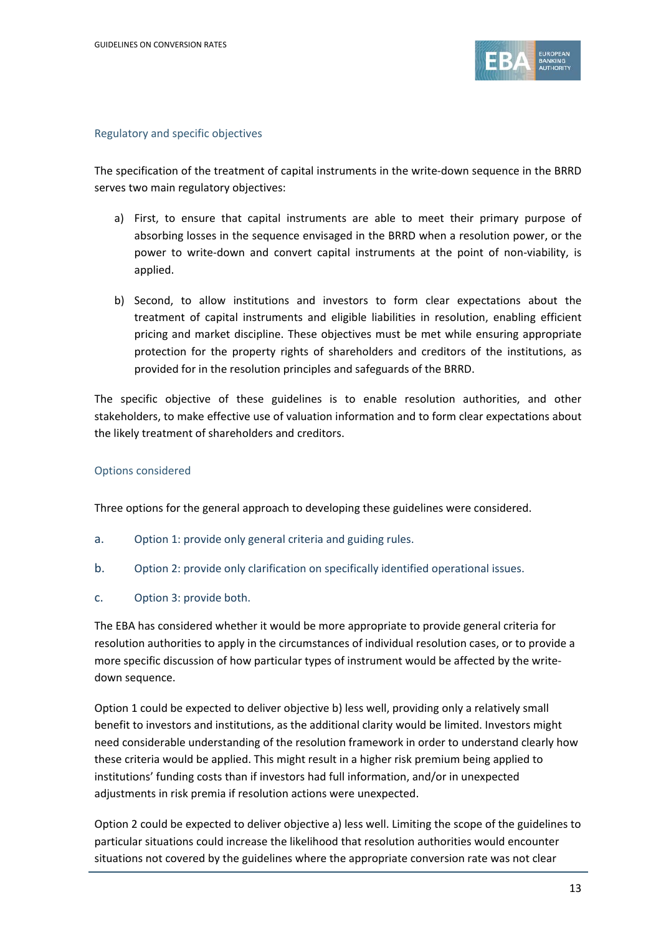

#### Regulatory and specific objectives

The specification of the treatment of capital instruments in the write-down sequence in the BRRD serves two main regulatory objectives:

- a) First, to ensure that capital instruments are able to meet their primary purpose of absorbing losses in the sequence envisaged in the BRRD when a resolution power, or the power to write-down and convert capital instruments at the point of non-viability, is applied.
- b) Second, to allow institutions and investors to form clear expectations about the treatment of capital instruments and eligible liabilities in resolution, enabling efficient pricing and market discipline. These objectives must be met while ensuring appropriate protection for the property rights of shareholders and creditors of the institutions, as provided for in the resolution principles and safeguards of the BRRD.

The specific objective of these guidelines is to enable resolution authorities, and other stakeholders, to make effective use of valuation information and to form clear expectations about the likely treatment of shareholders and creditors.

#### Options considered

Three options for the general approach to developing these guidelines were considered.

- a. Option 1: provide only general criteria and guiding rules.
- b. Option 2: provide only clarification on specifically identified operational issues.
- c. Option 3: provide both.

The EBA has considered whether it would be more appropriate to provide general criteria for resolution authorities to apply in the circumstances of individual resolution cases, or to provide a more specific discussion of how particular types of instrument would be affected by the writedown sequence.

Option 1 could be expected to deliver objective b) less well, providing only a relatively small benefit to investors and institutions, as the additional clarity would be limited. Investors might need considerable understanding of the resolution framework in order to understand clearly how these criteria would be applied. This might result in a higher risk premium being applied to institutions' funding costs than if investors had full information, and/or in unexpected adjustments in risk premia if resolution actions were unexpected.

Option 2 could be expected to deliver objective a) less well. Limiting the scope of the guidelines to particular situations could increase the likelihood that resolution authorities would encounter situations not covered by the guidelines where the appropriate conversion rate was not clear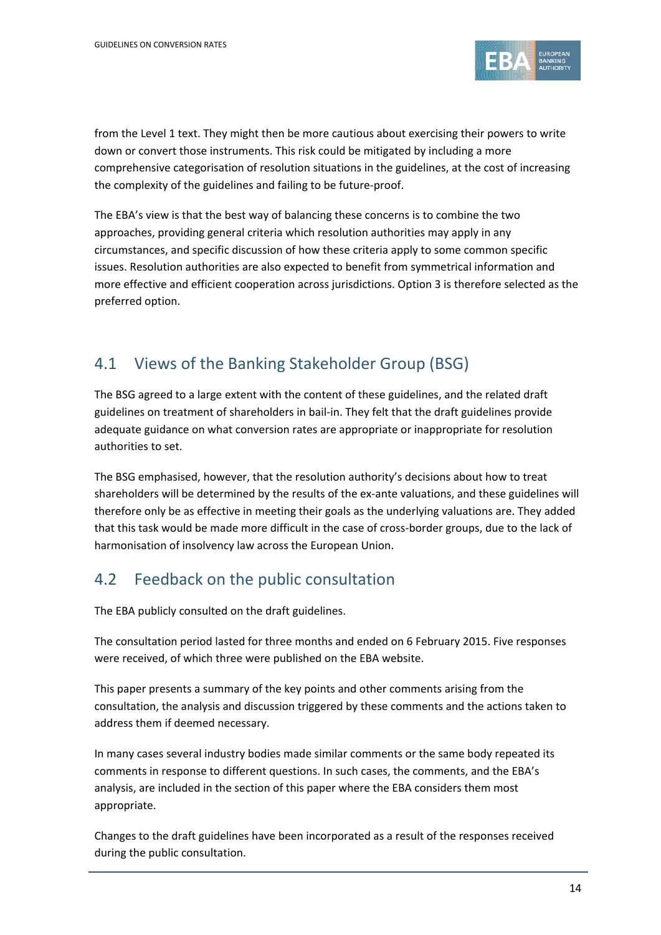

from the Level 1 text. They might then be more cautious about exercising their powers to write down or convert those instruments. This risk could be mitigated by including a more comprehensive categorisation of resolution situations in the guidelines, at the cost of increasing the complexity of the guidelines and failing to be future-proof.

The EBA's view is that the best way of balancing these concerns is to combine the two approaches, providing general criteria which resolution authorities may apply in any circumstances, and specific discussion of how these criteria apply to some common specific issues. Resolution authorities are also expected to benefit from symmetrical information and more effective and efficient cooperation across jurisdictions. Option 3 is therefore selected as the preferred option.

## 4.1 Views of the Banking Stakeholder Group (BSG)

The BSG agreed to a large extent with the content of these guidelines, and the related draft guidelines on treatment of shareholders in bail-in. They felt that the draft guidelines provide adequate guidance on what conversion rates are appropriate or inappropriate for resolution authorities to set.

The BSG emphasised, however, that the resolution authority's decisions about how to treat shareholders will be determined by the results of the ex-ante valuations, and these guidelines will therefore only be as effective in meeting their goals as the underlying valuations are. They added that this task would be made more difficult in the case of cross-border groups, due to the lack of harmonisation of insolvency law across the European Union.

## 4.2 Feedback on the public consultation

The EBA publicly consulted on the draft guidelines.

The consultation period lasted for three months and ended on 6 February 2015. Five responses were received, of which three were published on the EBA website.

This paper presents a summary of the key points and other comments arising from the consultation, the analysis and discussion triggered by these comments and the actions taken to address them if deemed necessary.

In many cases several industry bodies made similar comments or the same body repeated its comments in response to different questions. In such cases, the comments, and the EBA's analysis, are included in the section of this paper where the EBA considers them most appropriate.

Changes to the draft guidelines have been incorporated as a result of the responses received during the public consultation.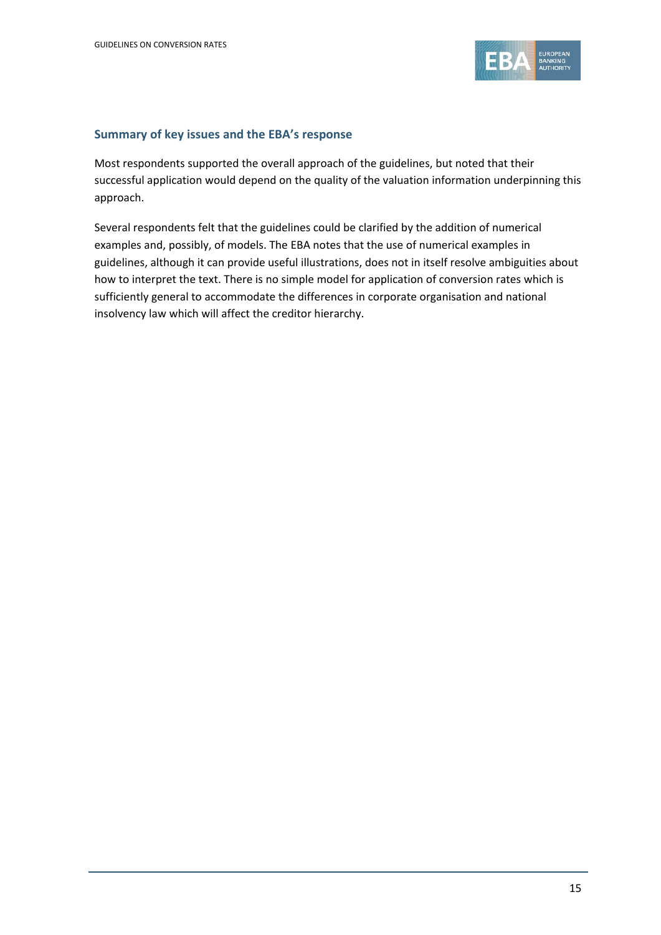

#### **Summary of key issues and the EBA's response**

Most respondents supported the overall approach of the guidelines, but noted that their successful application would depend on the quality of the valuation information underpinning this approach.

Several respondents felt that the guidelines could be clarified by the addition of numerical examples and, possibly, of models. The EBA notes that the use of numerical examples in guidelines, although it can provide useful illustrations, does not in itself resolve ambiguities about how to interpret the text. There is no simple model for application of conversion rates which is sufficiently general to accommodate the differences in corporate organisation and national insolvency law which will affect the creditor hierarchy.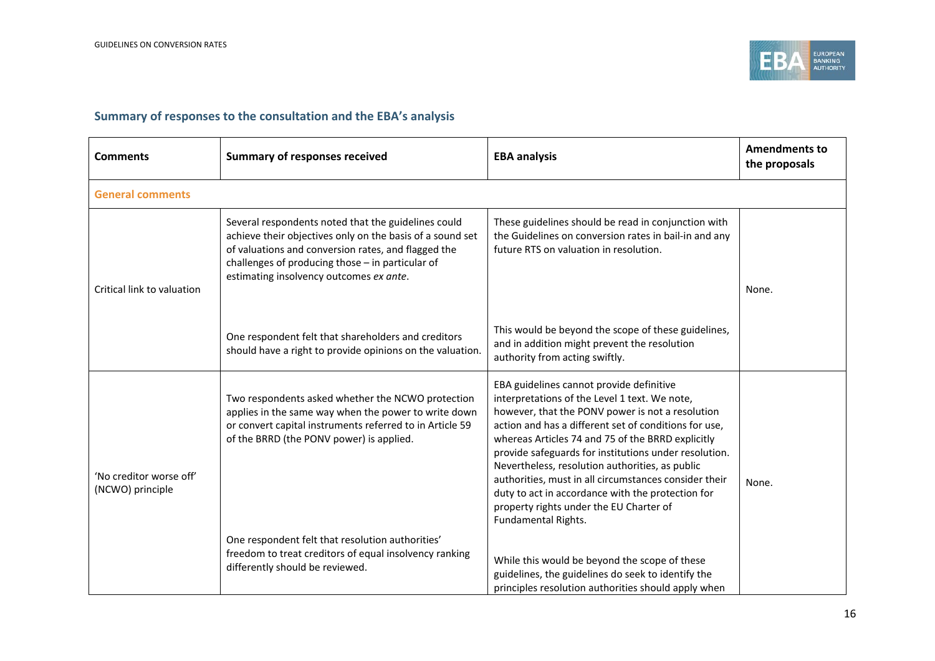

### **Summary of responses to the consultation and the EBA's analysis**

| <b>Comments</b>                             | <b>Summary of responses received</b>                                                                                                                                                                                                                                   | <b>EBA analysis</b>                                                                                                                                                                                                                                                                                                                                                                                                                                                                                                                                     | <b>Amendments to</b><br>the proposals |  |  |  |
|---------------------------------------------|------------------------------------------------------------------------------------------------------------------------------------------------------------------------------------------------------------------------------------------------------------------------|---------------------------------------------------------------------------------------------------------------------------------------------------------------------------------------------------------------------------------------------------------------------------------------------------------------------------------------------------------------------------------------------------------------------------------------------------------------------------------------------------------------------------------------------------------|---------------------------------------|--|--|--|
| <b>General comments</b>                     |                                                                                                                                                                                                                                                                        |                                                                                                                                                                                                                                                                                                                                                                                                                                                                                                                                                         |                                       |  |  |  |
| Critical link to valuation                  | Several respondents noted that the guidelines could<br>achieve their objectives only on the basis of a sound set<br>of valuations and conversion rates, and flagged the<br>challenges of producing those - in particular of<br>estimating insolvency outcomes ex ante. | These guidelines should be read in conjunction with<br>the Guidelines on conversion rates in bail-in and any<br>future RTS on valuation in resolution.                                                                                                                                                                                                                                                                                                                                                                                                  | None.                                 |  |  |  |
|                                             | One respondent felt that shareholders and creditors<br>should have a right to provide opinions on the valuation.                                                                                                                                                       | This would be beyond the scope of these guidelines,<br>and in addition might prevent the resolution<br>authority from acting swiftly.                                                                                                                                                                                                                                                                                                                                                                                                                   |                                       |  |  |  |
| 'No creditor worse off'<br>(NCWO) principle | Two respondents asked whether the NCWO protection<br>applies in the same way when the power to write down<br>or convert capital instruments referred to in Article 59<br>of the BRRD (the PONV power) is applied.                                                      | EBA guidelines cannot provide definitive<br>interpretations of the Level 1 text. We note,<br>however, that the PONV power is not a resolution<br>action and has a different set of conditions for use,<br>whereas Articles 74 and 75 of the BRRD explicitly<br>provide safeguards for institutions under resolution.<br>Nevertheless, resolution authorities, as public<br>authorities, must in all circumstances consider their<br>duty to act in accordance with the protection for<br>property rights under the EU Charter of<br>Fundamental Rights. | None.                                 |  |  |  |
|                                             | One respondent felt that resolution authorities'<br>freedom to treat creditors of equal insolvency ranking<br>differently should be reviewed.                                                                                                                          | While this would be beyond the scope of these<br>guidelines, the guidelines do seek to identify the<br>principles resolution authorities should apply when                                                                                                                                                                                                                                                                                                                                                                                              |                                       |  |  |  |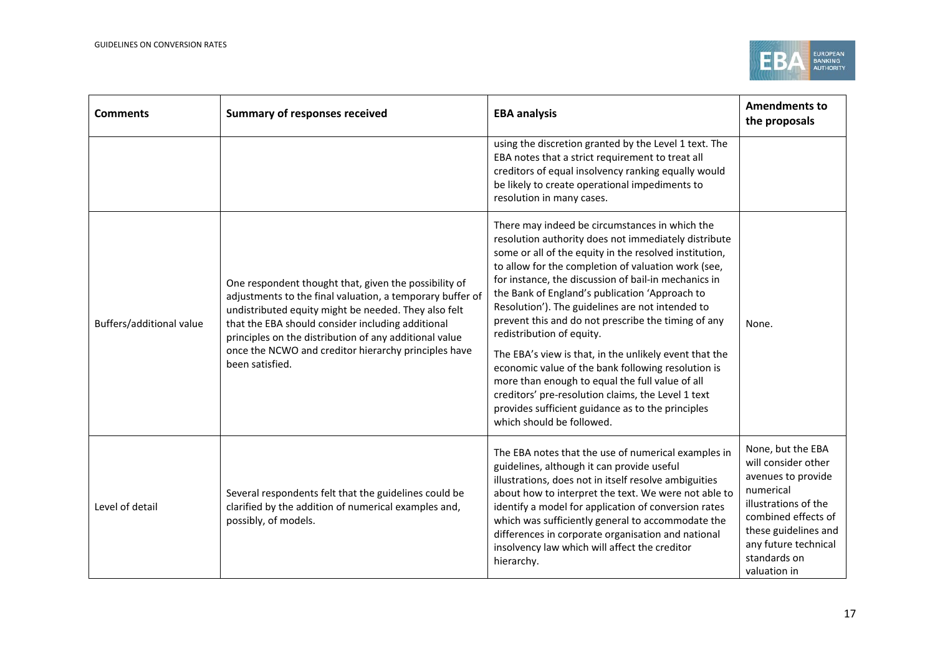

| <b>Comments</b>          | <b>Summary of responses received</b>                                                                                                                                                                                                                                                                                                                                 | <b>EBA analysis</b>                                                                                                                                                                                                                                                                                                                                                                                                                                                                                                                                                                                                                                                                                                                                                                  | <b>Amendments to</b><br>the proposals                                                                                                                                                                      |
|--------------------------|----------------------------------------------------------------------------------------------------------------------------------------------------------------------------------------------------------------------------------------------------------------------------------------------------------------------------------------------------------------------|--------------------------------------------------------------------------------------------------------------------------------------------------------------------------------------------------------------------------------------------------------------------------------------------------------------------------------------------------------------------------------------------------------------------------------------------------------------------------------------------------------------------------------------------------------------------------------------------------------------------------------------------------------------------------------------------------------------------------------------------------------------------------------------|------------------------------------------------------------------------------------------------------------------------------------------------------------------------------------------------------------|
|                          |                                                                                                                                                                                                                                                                                                                                                                      | using the discretion granted by the Level 1 text. The<br>EBA notes that a strict requirement to treat all<br>creditors of equal insolvency ranking equally would<br>be likely to create operational impediments to<br>resolution in many cases.                                                                                                                                                                                                                                                                                                                                                                                                                                                                                                                                      |                                                                                                                                                                                                            |
| Buffers/additional value | One respondent thought that, given the possibility of<br>adjustments to the final valuation, a temporary buffer of<br>undistributed equity might be needed. They also felt<br>that the EBA should consider including additional<br>principles on the distribution of any additional value<br>once the NCWO and creditor hierarchy principles have<br>been satisfied. | There may indeed be circumstances in which the<br>resolution authority does not immediately distribute<br>some or all of the equity in the resolved institution,<br>to allow for the completion of valuation work (see,<br>for instance, the discussion of bail-in mechanics in<br>the Bank of England's publication 'Approach to<br>Resolution'). The guidelines are not intended to<br>prevent this and do not prescribe the timing of any<br>redistribution of equity.<br>The EBA's view is that, in the unlikely event that the<br>economic value of the bank following resolution is<br>more than enough to equal the full value of all<br>creditors' pre-resolution claims, the Level 1 text<br>provides sufficient guidance as to the principles<br>which should be followed. | None.                                                                                                                                                                                                      |
| Level of detail          | Several respondents felt that the guidelines could be<br>clarified by the addition of numerical examples and,<br>possibly, of models.                                                                                                                                                                                                                                | The EBA notes that the use of numerical examples in<br>guidelines, although it can provide useful<br>illustrations, does not in itself resolve ambiguities<br>about how to interpret the text. We were not able to<br>identify a model for application of conversion rates<br>which was sufficiently general to accommodate the<br>differences in corporate organisation and national<br>insolvency law which will affect the creditor<br>hierarchy.                                                                                                                                                                                                                                                                                                                                 | None, but the EBA<br>will consider other<br>avenues to provide<br>numerical<br>illustrations of the<br>combined effects of<br>these guidelines and<br>any future technical<br>standards on<br>valuation in |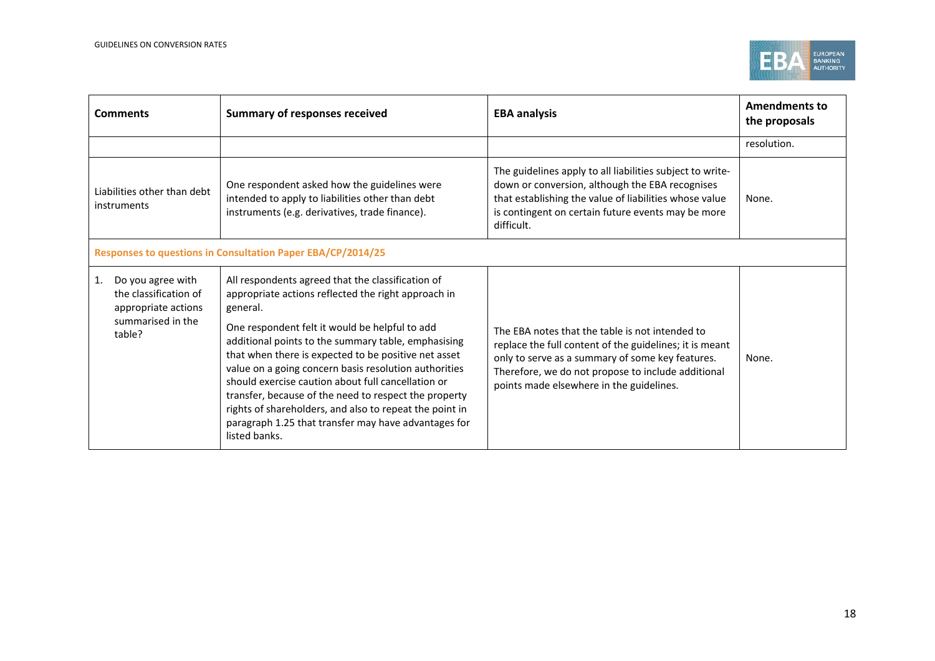

| <b>Comments</b>                                                                                        | <b>Summary of responses received</b>                                                                                                                                                                                                                                                                                                                                                                 | <b>EBA analysis</b>                                                                                                                                                                                                                                              | <b>Amendments to</b><br>the proposals |  |  |  |
|--------------------------------------------------------------------------------------------------------|------------------------------------------------------------------------------------------------------------------------------------------------------------------------------------------------------------------------------------------------------------------------------------------------------------------------------------------------------------------------------------------------------|------------------------------------------------------------------------------------------------------------------------------------------------------------------------------------------------------------------------------------------------------------------|---------------------------------------|--|--|--|
|                                                                                                        |                                                                                                                                                                                                                                                                                                                                                                                                      |                                                                                                                                                                                                                                                                  | resolution.                           |  |  |  |
| Liabilities other than debt<br>instruments                                                             | One respondent asked how the guidelines were<br>intended to apply to liabilities other than debt<br>instruments (e.g. derivatives, trade finance).                                                                                                                                                                                                                                                   | The guidelines apply to all liabilities subject to write-<br>down or conversion, although the EBA recognises<br>that establishing the value of liabilities whose value<br>is contingent on certain future events may be more<br>difficult.                       | None.                                 |  |  |  |
| Responses to questions in Consultation Paper EBA/CP/2014/25                                            |                                                                                                                                                                                                                                                                                                                                                                                                      |                                                                                                                                                                                                                                                                  |                                       |  |  |  |
| Do you agree with<br>1.<br>the classification of<br>appropriate actions<br>summarised in the<br>table? | All respondents agreed that the classification of<br>appropriate actions reflected the right approach in<br>general.<br>One respondent felt it would be helpful to add<br>additional points to the summary table, emphasising<br>that when there is expected to be positive net asset<br>value on a going concern basis resolution authorities<br>should exercise caution about full cancellation or | The EBA notes that the table is not intended to<br>replace the full content of the guidelines; it is meant<br>only to serve as a summary of some key features.<br>Therefore, we do not propose to include additional<br>points made elsewhere in the guidelines. | None.                                 |  |  |  |
|                                                                                                        | transfer, because of the need to respect the property<br>rights of shareholders, and also to repeat the point in<br>paragraph 1.25 that transfer may have advantages for<br>listed banks.                                                                                                                                                                                                            |                                                                                                                                                                                                                                                                  |                                       |  |  |  |